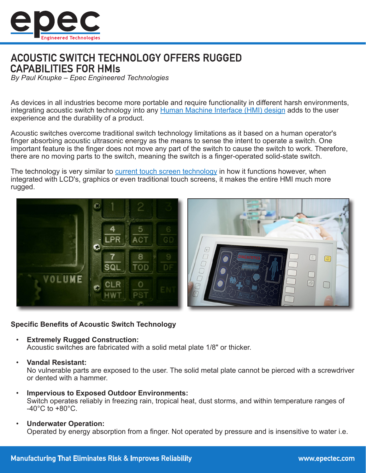

# **ACOUSTIC SWITCH TECHNOLOGY OFFERS RUGGED CAPABILITIES FOR HMIS**

*By Paul Knupke – Epec Engineered Technologies*

As devices in all industries become more portable and require functionality in different harsh environments, integrating acoustic switch technology into any [Human Machine Interface \(HMI\) design](http://www.epectec.com/user-interfaces/hmi-design-and-development.html) adds to the user experience and the durability of a product.

Acoustic switches overcome traditional switch technology limitations as it based on a human operator's finger absorbing acoustic ultrasonic energy as the means to sense the intent to operate a switch. One important feature is the finger does not move any part of the switch to cause the switch to work. Therefore, there are no moving parts to the switch, meaning the switch is a finger-operated solid-state switch.

The technology is very similar to [current touch screen technology](http://www.epectec.com/user-interfaces/capacitive-touch-membrane-switches.html) in how it functions however, when integrated with LCD's, graphics or even traditional touch screens, it makes the entire HMI much more rugged.



#### **Specific Benefits of Acoustic Switch Technology**

- **Extremely Rugged Construction:** Acoustic switches are fabricated with a solid metal plate 1/8" or thicker.
- **Vandal Resistant:**

No vulnerable parts are exposed to the user. The solid metal plate cannot be pierced with a screwdriver or dented with a hammer.

- **Impervious to Exposed Outdoor Environments:** Switch operates reliably in freezing rain, tropical heat, dust storms, and within temperature ranges of  $-40^{\circ}$ C to  $+80^{\circ}$ C.
- **Underwater Operation:** Operated by energy absorption from a finger. Not operated by pressure and is insensitive to water i.e.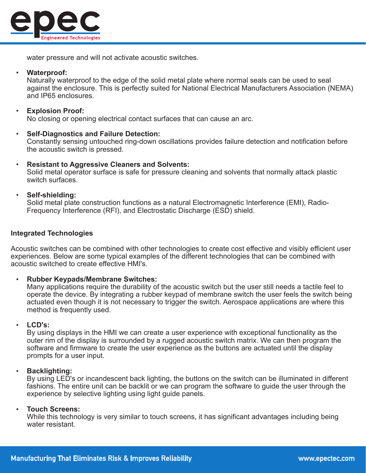

water pressure and will not activate acoustic switches.

#### • **Waterproof:**

Naturally waterproof to the edge of the solid metal plate where normal seals can be used to seal against the enclosure. This is perfectly suited for National Electrical Manufacturers Association (NEMA) and IP65 enclosures.

#### • **Explosion Proof:**

No closing or opening electrical contact surfaces that can cause an arc.

- **Self-Diagnostics and Failure Detection:** Constantly sensing untouched ring-down oscillations provides failure detection and notification before the acoustic switch is pressed.
- **Resistant to Aggressive Cleaners and Solvents:** Solid metal operator surface is safe for pressure cleaning and solvents that normally attack plastic switch surfaces.
- **Self-shielding:**

Solid metal plate construction functions as a natural Electromagnetic Interference (EMI), Radio-Frequency Interference (RFI), and Electrostatic Discharge (ESD) shield.

#### **Integrated Technologies**

Acoustic switches can be combined with other technologies to create cost effective and visibly efficient user experiences. Below are some typical examples of the different technologies that can be combined with acoustic switched to create effective HMI's.

#### • **Rubber Keypads/Membrane Switches:**

Many applications require the durability of the acoustic switch but the user still needs a tactile feel to operate the device. By integrating a rubber keypad of membrane switch the user feels the switch being actuated even though it is not necessary to trigger the switch. Aerospace applications are where this method is frequently used.

### • **LCD's:**

By using displays in the HMI we can create a user experience with exceptional functionality as the outer rim of the display is surrounded by a rugged acoustic switch matrix. We can then program the software and firmware to create the user experience as the buttons are actuated until the display prompts for a user input.

#### • **Backlighting:**

By using LED's or incandescent back lighting, the buttons on the switch can be illuminated in different fashions. The entire unit can be backlit or we can program the software to guide the user through the experience by selective lighting using light guide panels.

#### • **Touch Screens:**

While this technology is very similar to touch screens, it has significant advantages including being water resistant.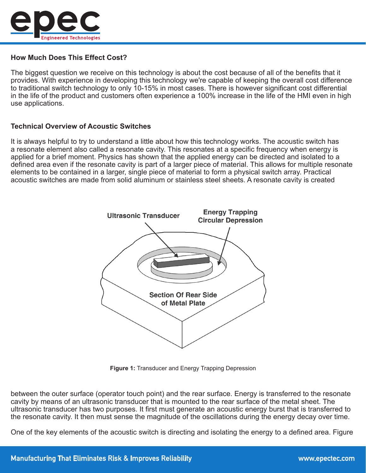

## **How Much Does This Effect Cost?**

The biggest question we receive on this technology is about the cost because of all of the benefits that it provides. With experience in developing this technology we're capable of keeping the overall cost difference to traditional switch technology to only 10-15% in most cases. There is however significant cost differential in the life of the product and customers often experience a 100% increase in the life of the HMI even in high use applications.

## **Technical Overview of Acoustic Switches**

It is always helpful to try to understand a little about how this technology works. The acoustic switch has a resonate element also called a resonate cavity. This resonates at a specific frequency when energy is applied for a brief moment. Physics has shown that the applied energy can be directed and isolated to a defined area even if the resonate cavity is part of a larger piece of material. This allows for multiple resonate elements to be contained in a larger, single piece of material to form a physical switch array. Practical acoustic switches are made from solid aluminum or stainless steel sheets. A resonate cavity is created



**Figure 1:** Transducer and Energy Trapping Depression

between the outer surface (operator touch point) and the rear surface. Energy is transferred to the resonate cavity by means of an ultrasonic transducer that is mounted to the rear surface of the metal sheet. The ultrasonic transducer has two purposes. It first must generate an acoustic energy burst that is transferred to the resonate cavity. It then must sense the magnitude of the oscillations during the energy decay over time.

One of the key elements of the acoustic switch is directing and isolating the energy to a defined area. Figure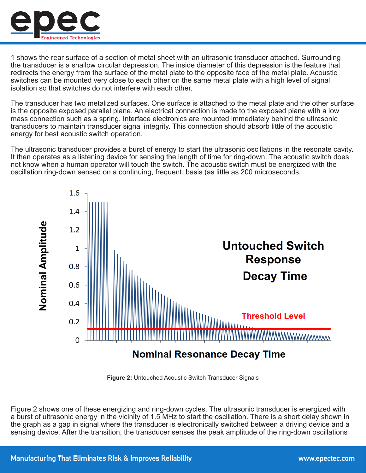

1 shows the rear surface of a section of metal sheet with an ultrasonic transducer attached. Surrounding the transducer is a shallow circular depression. The inside diameter of this depression is the feature that redirects the energy from the surface of the metal plate to the opposite face of the metal plate. Acoustic switches can be mounted very close to each other on the same metal plate with a high level of signal isolation so that switches do not interfere with each other.

The transducer has two metalized surfaces. One surface is attached to the metal plate and the other surface is the opposite exposed parallel plane. An electrical connection is made to the exposed plane with a low mass connection such as a spring. Interface electronics are mounted immediately behind the ultrasonic transducers to maintain transducer signal integrity. This connection should absorb little of the acoustic energy for best acoustic switch operation.

The ultrasonic transducer provides a burst of energy to start the ultrasonic oscillations in the resonate cavity. It then operates as a listening device for sensing the length of time for ring-down. The acoustic switch does not know when a human operator will touch the switch. The acoustic switch must be energized with the oscillation ring-down sensed on a continuing, frequent, basis (as little as 200 microseconds.



**Figure 2:** Untouched Acoustic Switch Transducer Signals

Figure 2 shows one of these energizing and ring-down cycles. The ultrasonic transducer is energized with a burst of ultrasonic energy in the vicinity of 1.5 MHz to start the oscillation. There is a short delay shown in the graph as a gap in signal where the transducer is electronically switched between a driving device and a sensing device. After the transition, the transducer senses the peak amplitude of the ring-down oscillations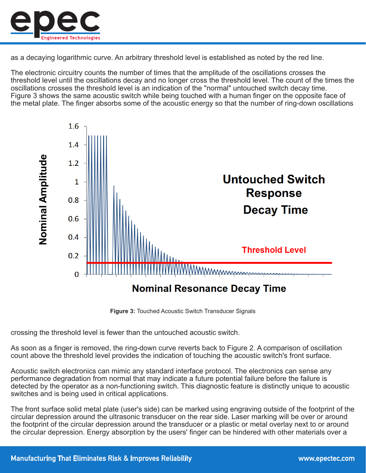

as a decaying logarithmic curve. An arbitrary threshold level is established as noted by the red line.

The electronic circuitry counts the number of times that the amplitude of the oscillations crosses the threshold level until the oscillations decay and no longer cross the threshold level. The count of the times the oscillations crosses the threshold level is an indication of the "normal" untouched switch decay time. Figure 3 shows the same acoustic switch while being touched with a human finger on the opposite face of the metal plate. The finger absorbs some of the acoustic energy so that the number of ring-down oscillations



**Figure 3:** Touched Acoustic Switch Transducer Signals

crossing the threshold level is fewer than the untouched acoustic switch.

As soon as a finger is removed, the ring-down curve reverts back to Figure 2. A comparison of oscillation count above the threshold level provides the indication of touching the acoustic switch's front surface.

Acoustic switch electronics can mimic any standard interface protocol. The electronics can sense any performance degradation from normal that may indicate a future potential failure before the failure is detected by the operator as a non-functioning switch. This diagnostic feature is distinctly unique to acoustic switches and is being used in critical applications.

The front surface solid metal plate (user's side) can be marked using engraving outside of the footprint of the circular depression around the ultrasonic transducer on the rear side. Laser marking will be over or around the footprint of the circular depression around the transducer or a plastic or metal overlay next to or around the circular depression. Energy absorption by the users' finger can be hindered with other materials over a